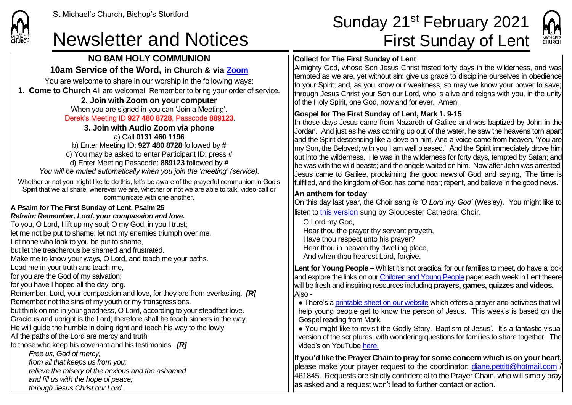

## **NO 8AM HOLY COMMUNION**

## **10am Service of the Word, in Church & via [Zoom](https://zoom.us/)**

You are welcome to share in our worship in the following ways: **1. Come to Church** All are welcome! Remember to bring your order of service.

### **2. Join with Zoom on your computer**

When you are signed in you can 'Join a Meeting'. Derek's Meeting ID **927 480 8728**, Passcode **889123**.

**3. Join with Audio Zoom via phone**  a) Call **0131 460 1196** b) Enter Meeting ID: **927 480 8728** followed by **#**

c) You may be asked to enter Participant ID: press **#** d) Enter Meeting Passcode: **889123** followed by **#** *You will be muted automatically when you join the 'meeting' (service).*

Whether or not you might like to do this, let's be aware of the prayerful communion in God's Spirit that we all share, wherever we are, whether or not we are able to talk, video-call or communicate with one another.

### **A Psalm for The First Sunday of Lent, Psalm 25**

#### *Refrain: Remember, Lord, your compassion and love.*

To you, O Lord, I lift up my soul; O my God, in you I trust; let me not be put to shame; let not my enemies triumph over me. Let none who look to you be put to shame, but let the treacherous be shamed and frustrated. Make me to know your ways, O Lord, and teach me your paths. Lead me in your truth and teach me, for you are the God of my salvation; for you have I hoped all the day long. Remember, Lord, your compassion and love, for they are from everlasting. *[R]* Remember not the sins of my youth or my transgressions, but think on me in your goodness, O Lord, according to your steadfast love. Gracious and upright is the Lord; therefore shall he teach sinners in the way. He will guide the humble in doing right and teach his way to the lowly. All the paths of the Lord are mercy and truth to those who keep his covenant and his testimonies. *[R] Free us, God of mercy,*

*from all that keeps us from you;*

*relieve the misery of the anxious and the ashamed*

*and fill us with the hope of peace;*

*through Jesus Christ our Lord.*

# St Michael's Church, Bishop's Stortford **Sunday 21<sup>st</sup> February 2021** Newsletter and Notices First Sunday of Lent

MICHAELS



Almighty God, whose Son Jesus Christ fasted forty days in the wilderness, and was tempted as we are, yet without sin: give us grace to discipline ourselves in obedience to your Spirit; and, as you know our weakness, so may we know your power to save; through Jesus Christ your Son our Lord, who is alive and reigns with you, in the unity of the Holy Spirit, one God, now and for ever. Amen.

### **Gospel for The First Sunday of Lent, Mark 1. 9-15**

In those days Jesus came from Nazareth of Galilee and was baptized by John in the Jordan. And just as he was coming up out of the water, he saw the heavens torn apart and the Spirit descending like a dove on him. And a voice came from heaven, 'You are my Son, the Beloved; with you I am well pleased.' And the Spirit immediately drove him  $\vert$ out into the wilderness. He was in the wilderness for forty days, tempted by Satan; and he was with the wild beasts; and the angels waited on him. Now after John was arrested, Jesus came to Galilee, proclaiming the good news of God, and saying, 'The time is fulfilled, and the kingdom of God has come near; repent, and believe in the good news.'

### **An anthem for today**

On this day last year, the Choir sang *is 'O Lord my God'* (Wesley).You might like to listen to [this version](https://www.youtube.com/watch?v=oZzQu1lPrVc) sung by Gloucester Cathedral Choir.

O Lord my God, Hear thou the prayer thy servant prayeth, Have thou respect unto his prayer? Hear thou in heaven thy dwelling place, And when thou hearest Lord, forgive.

**Lent for Young People –** Whilst it's not practical for our families to meet, do have a look and explore the links on our [Children and Young People](https://saintmichaelweb.org.uk/Groups/310496/Children_and_Young.aspx) page: each week in Lent theere will be fresh and inspiring resources including **prayers, games, quizzes and videos.**  Also -

• There's [a printable sheet on our website](https://saintmichaelweb.org.uk/Groups/310496/Children_and_Young.aspx) which offers a prayer and activities that will help young people get to know the person of Jesus. This week's is based on the Gospel reading from Mark.

● You might like to revisit the Godly Story, 'Baptism of Jesus'. It's a fantastic visual version of the scriptures, with wondering questions for families to share together. The video's on YouTube [here.](https://www.youtube.com/watch?v=4MkJStSXLq8&t=38s)

**If you'd like the Prayer Chain to pray for some concern which is on your heart,** blease make your prayer request to the coordinator: [diane.pettitt@hotmail.com](mailto:diane.pettitt@hotmail.com)  $\mu$ 461845. Requests are strictly confidential to the Prayer Chain, who will simply pray as asked and a request won't lead to further contact or action.